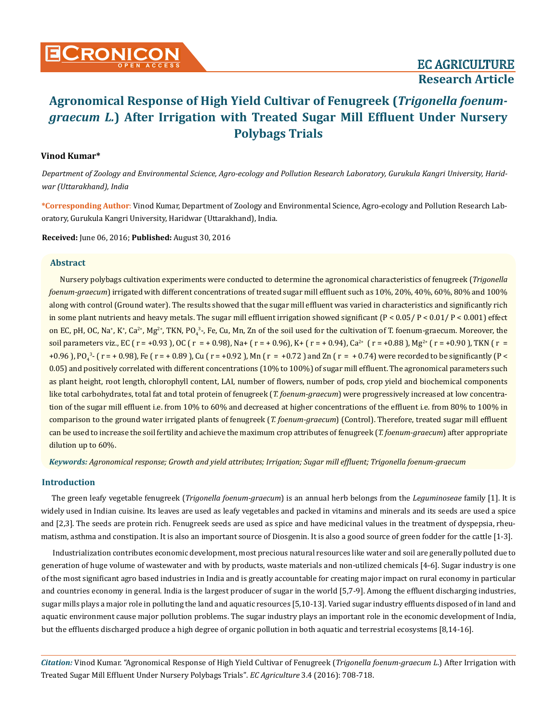## **Vinod Kumar\***

*Department of Zoology and Environmental Science, Agro-ecology and Pollution Research Laboratory, Gurukula Kangri University, Haridwar (Uttarakhand), India*

**\*Corresponding Author**: Vinod Kumar, Department of Zoology and Environmental Science, Agro-ecology and Pollution Research Laboratory, Gurukula Kangri University, Haridwar (Uttarakhand), India.

**Received:** June 06, 2016; **Published:** August 30, 2016

#### **Abstract**

Nursery polybags cultivation experiments were conducted to determine the agronomical characteristics of fenugreek (*Trigonella foenum-graecum*) irrigated with different concentrations of treated sugar mill effluent such as 10%, 20%, 40%, 60%, 80% and 100% along with control (Ground water). The results showed that the sugar mill effluent was varied in characteristics and significantly rich in some plant nutrients and heavy metals. The sugar mill effluent irrigation showed significant  $(P < 0.05 / P < 0.01 / P < 0.001)$  effect on EC, pH, OC, Na\*, K\*, Ca<sup>2+</sup>, Mg<sup>2+</sup>, TKN, PO<sub>4</sub><sup>3</sup>-, Fe, Cu, Mn, Zn of the soil used for the cultivation of T. foenum-graecum. Moreover, the soil parameters viz., EC ( $r = +0.93$ ), OC ( $r = +0.98$ ), Na+ ( $r = +0.96$ ), K+ ( $r = +0.94$ ), Ca<sup>2+</sup> ( $r = +0.88$ ), Mg<sup>2+</sup> ( $r = +0.90$ ), TKN ( $r = +0.99$ ) +0.96 ), PO<sub>4</sub><sup>3</sup>- ( r = + 0.98), Fe ( r = + 0.89 ), Cu ( r = +0.92 ), Mn ( r = +0.72 ) and Zn ( r = + 0.74) were recorded to be significantly (P < 0.05) and positively correlated with different concentrations (10% to 100%) of sugar mill effluent. The agronomical parameters such as plant height, root length, chlorophyll content, LAI, number of flowers, number of pods, crop yield and biochemical components like total carbohydrates, total fat and total protein of fenugreek (*T. foenum-graecum*) were progressively increased at low concentration of the sugar mill effluent i.e. from 10% to 60% and decreased at higher concentrations of the effluent i.e. from 80% to 100% in comparison to the ground water irrigated plants of fenugreek (*T. foenum-graecum*) (Control). Therefore, treated sugar mill effluent can be used to increase the soil fertility and achieve the maximum crop attributes of fenugreek (*T. foenum-graecum*) after appropriate dilution up to 60%.

*Keywords: Agronomical response; Growth and yield attributes; Irrigation; Sugar mill effluent; Trigonella foenum-graecum*

# **Introduction**

The green leafy vegetable fenugreek (*Trigonella foenum-graecum*) is an annual herb belongs from the *Leguminoseae* family [1]. It is widely used in Indian cuisine. Its leaves are used as leafy vegetables and packed in vitamins and minerals and its seeds are used a spice and [2,3]. The seeds are protein rich. Fenugreek seeds are used as spice and have medicinal values in the treatment of dyspepsia, rheumatism, asthma and constipation. It is also an important source of Diosgenin. It is also a good source of green fodder for the cattle [1-3].

Industrialization contributes economic development, most precious natural resources like water and soil are generally polluted due to generation of huge volume of wastewater and with by products, waste materials and non-utilized chemicals [4-6]. Sugar industry is one of the most significant agro based industries in India and is greatly accountable for creating major impact on rural economy in particular and countries economy in general. India is the largest producer of sugar in the world [5,7-9]. Among the effluent discharging industries, sugar mills plays a major role in polluting the land and aquatic resources [5,10-13]. Varied sugar industry effluents disposed of in land and aquatic environment cause major pollution problems. The sugar industry plays an important role in the economic development of India, but the effluents discharged produce a high degree of organic pollution in both aquatic and terrestrial ecosystems [8,14-16].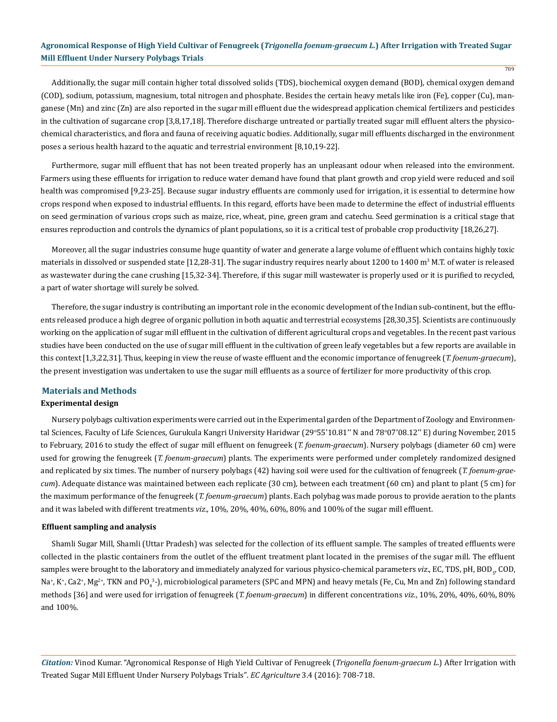Additionally, the sugar mill contain higher total dissolved solids (TDS), biochemical oxygen demand (BOD), chemical oxygen demand (COD), sodium, potassium, magnesium, total nitrogen and phosphate. Besides the certain heavy metals like iron (Fe), copper (Cu), manganese (Mn) and zinc (Zn) are also reported in the sugar mill effluent due the widespread application chemical fertilizers and pesticides in the cultivation of sugarcane crop [3,8,17,18]. Therefore discharge untreated or partially treated sugar mill effluent alters the physicochemical characteristics, and flora and fauna of receiving aquatic bodies. Additionally, sugar mill effluents discharged in the environment poses a serious health hazard to the aquatic and terrestrial environment [8,10,19-22].

Furthermore, sugar mill effluent that has not been treated properly has an unpleasant odour when released into the environment. Farmers using these effluents for irrigation to reduce water demand have found that plant growth and crop yield were reduced and soil health was compromised [9,23-25]. Because sugar industry effluents are commonly used for irrigation, it is essential to determine how crops respond when exposed to industrial effluents. In this regard, efforts have been made to determine the effect of industrial effluents on seed germination of various crops such as maize, rice, wheat, pine, green gram and catechu. Seed germination is a critical stage that ensures reproduction and controls the dynamics of plant populations, so it is a critical test of probable crop productivity [18,26,27].

Moreover, all the sugar industries consume huge quantity of water and generate a large volume of effluent which contains highly toxic materials in dissolved or suspended state [12,28-31]. The sugar industry requires nearly about 1200 to 1400 m<sup>3</sup> M.T. of water is released as wastewater during the cane crushing [15,32-34]. Therefore, if this sugar mill wastewater is properly used or it is purified to recycled, a part of water shortage will surely be solved.

Therefore, the sugar industry is contributing an important role in the economic development of the Indian sub-continent, but the effluents released produce a high degree of organic pollution in both aquatic and terrestrial ecosystems [28,30,35]. Scientists are continuously working on the application of sugar mill effluent in the cultivation of different agricultural crops and vegetables. In the recent past various studies have been conducted on the use of sugar mill effluent in the cultivation of green leafy vegetables but a few reports are available in this context [1,3,22,31]. Thus, keeping in view the reuse of waste effluent and the economic importance of fenugreek (*T. foenum-graecum*), the present investigation was undertaken to use the sugar mill effluents as a source of fertilizer for more productivity of this crop.

# **Materials and Methods**

#### **Experimental design**

Nursery polybags cultivation experiments were carried out in the Experimental garden of the Department of Zoology and Environmental Sciences, Faculty of Life Sciences, Gurukula Kangri University Haridwar (29°55'10.81" N and 78°07'08.12" E) during November, 2015 to February, 2016 to study the effect of sugar mill effluent on fenugreek (*T. foenum-graecum*). Nursery polybags (diameter 60 cm) were used for growing the fenugreek (*T. foenum-graecum*) plants. The experiments were performed under completely randomized designed and replicated by six times. The number of nursery polybags (42) having soil were used for the cultivation of fenugreek (*T. foenum-graecum*). Adequate distance was maintained between each replicate (30 cm), between each treatment (60 cm) and plant to plant (5 cm) for the maximum performance of the fenugreek (*T. foenum-graecum*) plants. Each polybag was made porous to provide aeration to the plants and it was labeled with different treatments *viz*., 10%, 20%, 40%, 60%, 80% and 100% of the sugar mill effluent.

#### **Effluent sampling and analysis**

Shamli Sugar Mill, Shamli (Uttar Pradesh) was selected for the collection of its effluent sample. The samples of treated effluents were collected in the plastic containers from the outlet of the effluent treatment plant located in the premises of the sugar mill. The effluent samples were brought to the laboratory and immediately analyzed for various physico-chemical parameters *viz.*, EC, TDS, pH, BOD<sub>5</sub>, COD, Na\*, K\*, Ca2\*, Mg<sup>2+</sup>, TKN and PO<sub>4</sub>3-), microbiological parameters (SPC and MPN) and heavy metals (Fe, Cu, Mn and Zn) following standard methods [36] and were used for irrigation of fenugreek (*T. foenum-graecum*) in different concentrations *viz*., 10%, 20%, 40%, 60%, 80% and 100%.

*Citation:* Vinod Kumar. "Agronomical Response of High Yield Cultivar of Fenugreek (*Trigonella foenum-graecum L*.) After Irrigation with Treated Sugar Mill Effluent Under Nursery Polybags Trials". *EC Agriculture* 3.4 (2016): 708-718.

709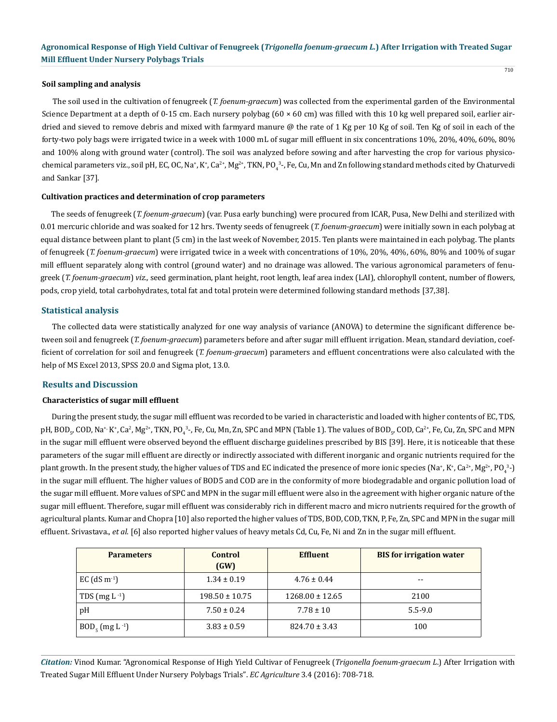#### **Soil sampling and analysis**

The soil used in the cultivation of fenugreek (*T. foenum-graecum*) was collected from the experimental garden of the Environmental Science Department at a depth of 0-15 cm. Each nursery polybag  $(60 \times 60 \text{ cm})$  was filled with this 10 kg well prepared soil, earlier airdried and sieved to remove debris and mixed with farmyard manure @ the rate of 1 Kg per 10 Kg of soil. Ten Kg of soil in each of the forty-two poly bags were irrigated twice in a week with 1000 mL of sugar mill effluent in six concentrations 10%, 20%, 40%, 60%, 80% and 100% along with ground water (control). The soil was analyzed before sowing and after harvesting the crop for various physicochemical parameters viz., soil pH, EC, OC, Na\*, K\*, Ca $^{2*}$ , Mg $^{2*}$ , TKN, PO $_4$ <sup>3</sup>-, Fe, Cu, Mn and Zn following standard methods cited by Chaturvedi and Sankar [37].

#### **Cultivation practices and determination of crop parameters**

The seeds of fenugreek (*T. foenum-graecum*) (var. Pusa early bunching) were procured from ICAR, Pusa, New Delhi and sterilized with 0.01 mercuric chloride and was soaked for 12 hrs. Twenty seeds of fenugreek (*T. foenum-graecum*) were initially sown in each polybag at equal distance between plant to plant (5 cm) in the last week of November, 2015. Ten plants were maintained in each polybag. The plants of fenugreek (*T. foenum-graecum*) were irrigated twice in a week with concentrations of 10%, 20%, 40%, 60%, 80% and 100% of sugar mill effluent separately along with control (ground water) and no drainage was allowed. The various agronomical parameters of fenugreek (*T. foenum-graecum*) *viz.,* seed germination, plant height, root length, leaf area index (LAI), chlorophyll content, number of flowers, pods, crop yield, total carbohydrates, total fat and total protein were determined following standard methods [37,38].

## **Statistical analysis**

The collected data were statistically analyzed for one way analysis of variance (ANOVA) to determine the significant difference between soil and fenugreek (*T. foenum-graecum*) parameters before and after sugar mill effluent irrigation. Mean, standard deviation, coefficient of correlation for soil and fenugreek (*T. foenum-graecum*) parameters and effluent concentrations were also calculated with the help of MS Excel 2013, SPSS 20.0 and Sigma plot, 13.0.

## **Results and Discussion**

## **Characteristics of sugar mill effluent**

During the present study, the sugar mill effluent was recorded to be varied in characteristic and loaded with higher contents of EC, TDS, pH, BOD<sub>5</sub>, COD, Na\*<sup>,</sup> K\*, Ca<sup>2</sup>, Mg<sup>2+</sup>, TKN, PO<sub>4</sub>3-, Fe, Cu, Mn, Zn, SPC and MPN (Table 1). The values of BOD<sub>5</sub>, COD, Ca<sup>2+</sup>, Fe, Cu, Zn, SPC and MPN in the sugar mill effluent were observed beyond the effluent discharge guidelines prescribed by BIS [39]. Here, it is noticeable that these parameters of the sugar mill effluent are directly or indirectly associated with different inorganic and organic nutrients required for the plant growth. In the present study, the higher values of TDS and EC indicated the presence of more ionic species (Na\*, K\*, Ca<sup>2+</sup>, Mg<sup>2+</sup>, PO<sub>4</sub><sup>3</sup>-) in the sugar mill effluent. The higher values of BOD5 and COD are in the conformity of more biodegradable and organic pollution load of the sugar mill effluent. More values of SPC and MPN in the sugar mill effluent were also in the agreement with higher organic nature of the sugar mill effluent. Therefore, sugar mill effluent was considerably rich in different macro and micro nutrients required for the growth of agricultural plants. Kumar and Chopra [10] also reported the higher values of TDS, BOD, COD, TKN, P, Fe, Zn, SPC and MPN in the sugar mill effluent. Srivastava., *et al*. [6] also reported higher values of heavy metals Cd, Cu, Fe, Ni and Zn in the sugar mill effluent.

| <b>Parameters</b>     | Control<br>(GW)    | <b>Effluent</b>     | <b>BIS</b> for irrigation water |
|-----------------------|--------------------|---------------------|---------------------------------|
| EC $(dS \, m^{-1})$   | $1.34 \pm 0.19$    | $4.76 \pm 0.44$     | --                              |
| TDS $(mg L^{-1})$     | $198.50 \pm 10.75$ | $1268.00 \pm 12.65$ | 2100                            |
| pH                    | $7.50 \pm 0.24$    | $7.78 \pm 10$       | $5.5 - 9.0$                     |
| $BOD_{5} (mg L^{-1})$ | $3.83 \pm 0.59$    | $824.70 \pm 3.43$   | 100                             |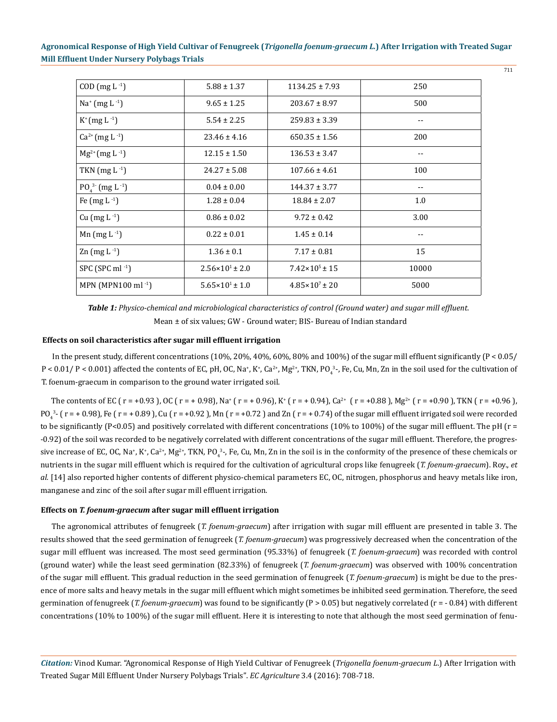| $COD$ (mg L $^{-1}$ )             | $5.88 \pm 1.37$              | $1134.25 \pm 7.93$          | 250   |
|-----------------------------------|------------------------------|-----------------------------|-------|
| $Na^{+}$ (mg L $^{-1}$ )          | $9.65 \pm 1.25$              | $203.67 \pm 8.97$           | 500   |
| $K^{+}$ (mg L <sup>-1</sup> )     | $5.54 \pm 2.25$              | $259.83 \pm 3.39$           | --    |
| $Ca^{2+} (mg L^{-1})$             | $23.46 \pm 4.16$             | $650.35 \pm 1.56$           | 200   |
| $Mg^{2+} (mg L^{-1})$             | $12.15 \pm 1.50$             | $136.53 \pm 3.47$           | --    |
| TKN $(mg L^{-1})$                 | $24.27 \pm 5.08$             | $107.66 \pm 4.61$           | 100   |
| $PO43 (mg L-1)$                   | $0.04 \pm 0.00$              | $144.37 \pm 3.77$           | --    |
| Fe $(mg L^{-1})$                  | $1.28 \pm 0.04$              | $18.84 \pm 2.07$            | 1.0   |
| $Cu$ (mg L <sup>-1</sup> )        | $0.86 \pm 0.02$              | $9.72 \pm 0.42$             | 3.00  |
| Mn $(mg L^{-1})$                  | $0.22 \pm 0.01$              | $1.45 \pm 0.14$             | $- -$ |
| $\text{Zn}$ (mg L <sup>-1</sup> ) | $1.36 \pm 0.1$               | $7.17 \pm 0.81$             | 15    |
| SPC (SPC ml $-1$ )                | $2.56 \times 10^{1} \pm 2.0$ | $7.42 \times 10^5 \pm 15$   | 10000 |
| MPN (MPN100 ml $^{-1}$ )          | $5.65 \times 10^{1} \pm 1.0$ | $4.85 \times 10^{7} \pm 20$ | 5000  |

Mean ± of six values; GW - Ground water; BIS- Bureau of Indian standard *Table 1: Physico-chemical and microbiological characteristics of control (Ground water) and sugar mill effluent.*

## **Effects on soil characteristics after sugar mill effluent irrigation**

In the present study, different concentrations (10%, 20%, 40%, 60%, 80% and 100%) of the sugar mill effluent significantly (P < 0.05/  $P$  < 0.01/ P < 0.001) affected the contents of EC, pH, OC, Na<sup>+</sup>, K<sup>+</sup>, Ca<sup>2+</sup>, Mg<sup>2+</sup>, TKN, PO<sub>4</sub><sup>3</sup>-, Fe, Cu, Mn, Zn in the soil used for the cultivation of T. foenum-graecum in comparison to the ground water irrigated soil.

The contents of EC ( r = +0.93 ), OC ( r = + 0.98), Na<sup>+</sup> ( r = + 0.96), K<sup>+</sup> ( r = +0.94), Ca<sup>2+</sup> ( r = +0.88 ), Mg<sup>2+</sup> ( r = +0.90 ), TKN ( r = +0.96 ),  $PO_4^{32}$  ( r = + 0.98), Fe ( r = + 0.89 ), Cu ( r = +0.92 ), Mn ( r = +0.72 ) and Zn ( r = + 0.74) of the sugar mill effluent irrigated soil were recorded to be significantly (P<0.05) and positively correlated with different concentrations (10% to 100%) of the sugar mill effluent. The pH ( $r =$ -0.92) of the soil was recorded to be negatively correlated with different concentrations of the sugar mill effluent. Therefore, the progressive increase of EC, OC, Na+, K+, Ca<sup>2+</sup>, Mg<sup>2+</sup>, TKN, PO<sub>4</sub><sup>3</sup>-, Fe, Cu, Mn, Zn in the soil is in the conformity of the presence of these chemicals or nutrients in the sugar mill effluent which is required for the cultivation of agricultural crops like fenugreek (*T. foenum-graecum*). Roy., *et al.* [14] also reported higher contents of different physico-chemical parameters EC, OC, nitrogen, phosphorus and heavy metals like iron, manganese and zinc of the soil after sugar mill effluent irrigation.

#### **Effects on** *T. foenum-graecum* **after sugar mill effluent irrigation**

The agronomical attributes of fenugreek (*T. foenum-graecum*) after irrigation with sugar mill effluent are presented in table 3. The results showed that the seed germination of fenugreek (*T. foenum-graecum*) was progressively decreased when the concentration of the sugar mill effluent was increased. The most seed germination (95.33%) of fenugreek (*T. foenum-graecum*) was recorded with control (ground water) while the least seed germination (82.33%) of fenugreek (*T. foenum-graecum*) was observed with 100% concentration of the sugar mill effluent. This gradual reduction in the seed germination of fenugreek (*T. foenum-graecum*) is might be due to the presence of more salts and heavy metals in the sugar mill effluent which might sometimes be inhibited seed germination. Therefore, the seed germination of fenugreek (*T. foenum-graecum*) was found to be significantly (P > 0.05) but negatively correlated (r = - 0.84) with different concentrations (10% to 100%) of the sugar mill effluent. Here it is interesting to note that although the most seed germination of fenu-

*Citation:* Vinod Kumar. "Agronomical Response of High Yield Cultivar of Fenugreek (*Trigonella foenum-graecum L*.) After Irrigation with Treated Sugar Mill Effluent Under Nursery Polybags Trials". *EC Agriculture* 3.4 (2016): 708-718.

711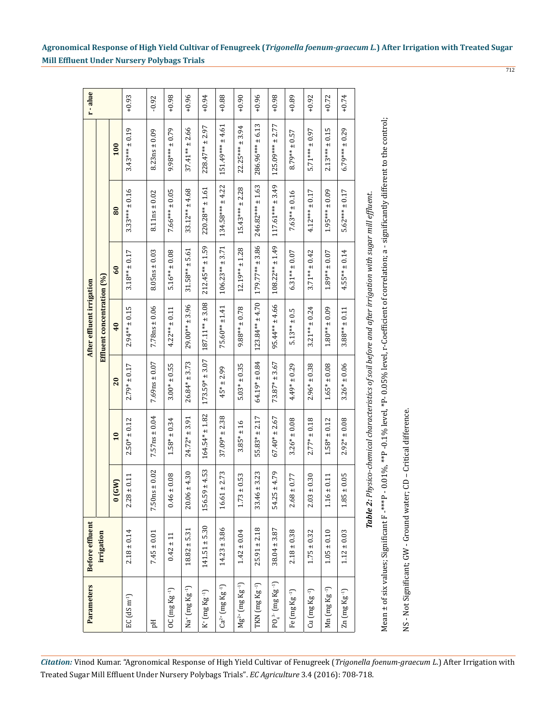| Parameters                                                    | <b>Before effluent</b> |                        |                    |                      | After effluent irrigation  |                                                                                                |                      |                      | r-alue  |
|---------------------------------------------------------------|------------------------|------------------------|--------------------|----------------------|----------------------------|------------------------------------------------------------------------------------------------|----------------------|----------------------|---------|
|                                                               | irrigation             |                        |                    |                      | Effluent concentration (%) |                                                                                                |                      |                      |         |
|                                                               |                        | 0(GW)                  | $\overline{10}$    | 20                   | 40                         | 60                                                                                             | 80                   | 100                  |         |
| $EC$ (dS m <sup>-1</sup> )                                    | $2.18 \pm 0.14$        | $2.28 \pm 0.11$        | $2.50* \pm 0.12$   | $2.79* \pm 0.17$     | $2.94***$ ± 0.15           | $3.18***$ $\pm$ 0.17                                                                           | $3.33***$ ± 0.16     | $3.43***$ ± 0.19     | $+0.93$ |
| Hq                                                            | $7.45 \pm 0.01$        | $7.50ns \pm 0.02$      | $7.57ns \pm 0.04$  | $7.69$ ns $\pm 0.07$ | $7.78ns \pm 0.06$          | $8.05ns \pm 0.03$                                                                              | $8.11ns \pm 0.02$    | $8.23ns \pm 0.09$    | $-0.92$ |
| $OC$ $(mg$ $Kg-1)$                                            | $0.42 \pm 11$          | $0.46 \pm 0.08$        | $1.58* \pm 0.34$   | $3.00* \pm 0.55$     | $4.22***$ + 0.11           | $5.16*** \pm 0.08$                                                                             | $7.66***\pm0.05$     | $9.98***$ ± 0.79     | $+0.98$ |
| Na* (mg Kg <sup>-1</sup> )                                    | $18.82 \pm 5.31$       | $20.06 \pm 4.30$       | $24.72* \pm 3.91$  | $26.84* \pm 3.73$    | $29.00***$ ± 3.96          | $31.58*** + 5.61$                                                                              | $33.12*** \pm 4.68$  | $37.41*** \pm 2.66$  | $+0.96$ |
| $K^+(mg\,Kg^{-1})$                                            | $141.51 \pm 5.30$      | $.59 \pm 4.53$<br>156. | $164.54* \pm 1.82$ | $173.59* \pm 3.07$   | $187.11*** \pm 3.08$       | $212.45*** \pm 1.59$                                                                           | $220.28*** \pm 1.61$ | $228.47***$ ± 2.97   | $+0.94$ |
| $Ca^{2+}$ (mg $Kg^{-1}$ )                                     | $14.23 \pm 3.86$       | $16.61 \pm 2.73$       | $37.09* \pm 2.38$  | $45* + 2.99$         | $75.60*** \pm 1.41$        | $106.23***$ ± 3.71                                                                             | $134.58*** + 4.22$   | $151.49*** + 4.61$   | $+0.88$ |
| $Mg^{2+}$ (mg Kg $^{-1}$ )                                    | $1.42 \pm 0.04$        | $1.73 \pm 0.53$        | $3.85* \pm 16$     | $5.03* \pm 0.35$     | $9.88***$ ± 0.78           | $12.19** + 1.28$                                                                               | $15.43***$ ± 2.28    | $22.25*** + 3.94$    | $+0.90$ |
| $TKN$ $(mg$ $Kg^{-1})$                                        | $25.91 \pm 2.18$       | $33.46 \pm 3.23$       | $55.83* + 2.17$    | $64.19* \pm 0.84$    | $123.84***$ ± 4.70         | $179.77***$ ± 3.86                                                                             | $246.82*** \pm 1.63$ | $286.96***\pm 6.13$  | $+0.96$ |
| $PO_4^3$ (mg Kg $^{-1}$ )                                     | $38.04 \pm 3.87$       | $5 + 4.79$<br>54.2     | $67.40* \pm 2.67$  | $73.87* \pm 3.67$    | $95.44*** \pm 4.66$        | $108.22***$ ± 1.49                                                                             | $117.61***$ ± 3.49   | $125.09***$ ± 2.77   | $+0.98$ |
| Fe (mg Kg <sup>-1</sup> )                                     | $2.18 \pm 0.38$        | $2.68 \pm 0.77$        | $3.26* \pm 0.08$   | $4.49* \pm 0.29$     | $5.13***$ ± 0.5            | $6.31***$ ± 0.07                                                                               | $7.63***$ ± 0.16     | $8.79***$ $\pm$ 0.57 | $+0.89$ |
| $Cu$ $(mg$ $Kg^{-1})$                                         | $1.75 \pm 0.32$        | $2.03 \pm 0.30$        | $2.77* \pm 0.18$   | $2.96* \pm 0.38$     | $3.21*** \pm 0.24$         | $3.71*** \pm 0.42$                                                                             | $4.12***\pm0.17$     | $5.71***$ ± 0.97     | $+0.92$ |
| $Mn$ (mg $Kg^{-1}$ )                                          | $1.05 \pm 0.10$        | $1.16 \pm 0.11$        | $1.58* \pm 0.12$   | $1.65* \pm 0.08$     | $1.80***10.09$             | $1.89***$ ± 0.07                                                                               | $1.95***\pm0.09$     | $2.13***$ ± 0.15     | $+0.72$ |
| $\text{Zn}$ $\left(\text{mg}\,\text{Kg}\,^{\text{-}1}\right)$ | $1.12 \pm 0.03$        | $1.85 \pm 0.05$        | $2.92* \pm 0.08$   | $3.26* \pm 0.06$     | $3.88***$ ± 0.11           | $4.55***$ ± 0.14                                                                               | $5.62***$ ± 0.17     | $6.79***$ ± 0.29     | $+0.74$ |
|                                                               |                        | Table 2:               |                    |                      |                            | Physico-chemical characteristics of soil before and after irrigation with sugar mill effluent. |                      |                      |         |

Mean ± of six values; Significant F -\*\*\*P - 0.01%, \*\*P -0.1% level, \*P- 0.05% level, r-Coefficient of correlation; a - significantly different to the control; Mean ± of six values; Significant F -\*\*\*P - 0.01%, \*\*P -0.1% level, \*P- 0.05% level, r-Coefficient of correlation; a - significantly different to the control;

NS - Not Significant; GW - Ground water; CD - Critical difference. NS - Not Significant; GW - Ground water; CD – Critical difference.

712

**Agronomical Response of High Yield Cultivar of Fenugreek (***Trigonella foenum-graecum L.***) After Irrigation with Treated Sugar Mill Effluent Under Nursery Polybags Trials**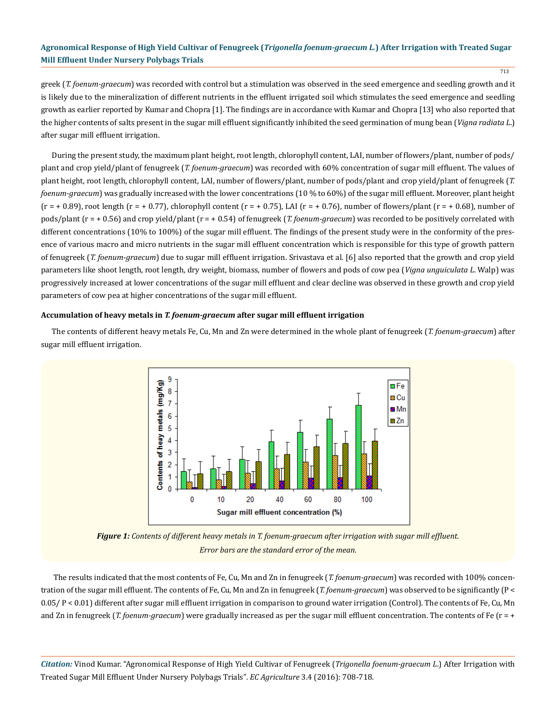713

greek (*T. foenum-graecum*) was recorded with control but a stimulation was observed in the seed emergence and seedling growth and it is likely due to the mineralization of different nutrients in the effluent irrigated soil which stimulates the seed emergence and seedling growth as earlier reported by Kumar and Chopra [1]. The findings are in accordance with Kumar and Chopra [13] who also reported that the higher contents of salts present in the sugar mill effluent significantly inhibited the seed germination of mung bean (*Vigna radiata L*.) after sugar mill effluent irrigation.

During the present study, the maximum plant height, root length, chlorophyll content, LAI, number of flowers/plant, number of pods/ plant and crop yield/plant of fenugreek (*T. foenum-graecum*) was recorded with 60% concentration of sugar mill effluent. The values of plant height, root length, chlorophyll content, LAI, number of flowers/plant, number of pods/plant and crop yield/plant of fenugreek (*T. foenum-graecum*) was gradually increased with the lower concentrations (10 % to 60%) of the sugar mill effluent. Moreover, plant height  $(r = +0.89)$ , root length  $(r = +0.77)$ , chlorophyll content  $(r = +0.75)$ , LAI  $(r = +0.76)$ , number of flowers/plant  $(r = +0.68)$ , number of pods/plant (r = + 0.56) and crop yield/plant (r = + 0.54) of fenugreek (*T. foenum-graecum*) was recorded to be positively correlated with different concentrations (10% to 100%) of the sugar mill effluent. The findings of the present study were in the conformity of the presence of various macro and micro nutrients in the sugar mill effluent concentration which is responsible for this type of growth pattern of fenugreek (*T. foenum-graecum*) due to sugar mill effluent irrigation. Srivastava et al. [6] also reported that the growth and crop yield parameters like shoot length, root length, dry weight, biomass, number of flowers and pods of cow pea (*Vigna unguiculata L*. Walp) was progressively increased at lower concentrations of the sugar mill effluent and clear decline was observed in these growth and crop yield parameters of cow pea at higher concentrations of the sugar mill effluent.

#### **Accumulation of heavy metals in** *T. foenum-graecum* **after sugar mill effluent irrigation**

The contents of different heavy metals Fe, Cu, Mn and Zn were determined in the whole plant of fenugreek (*T. foenum-graecum*) after sugar mill effluent irrigation.



*Figure 1: Contents of different heavy metals in T. foenum-graecum after irrigation with sugar mill effluent. Error bars are the standard error of the mean.*

 The results indicated that the most contents of Fe, Cu, Mn and Zn in fenugreek (*T. foenum-graecum*) was recorded with 100% concentration of the sugar mill effluent. The contents of Fe, Cu, Mn and Zn in fenugreek (*T. foenum-graecum*) was observed to be significantly (P < 0.05/ P < 0.01) different after sugar mill effluent irrigation in comparison to ground water irrigation (Control). The contents of Fe, Cu, Mn and Zn in fenugreek (*T. foenum-graecum*) were gradually increased as per the sugar mill effluent concentration. The contents of Fe (r = +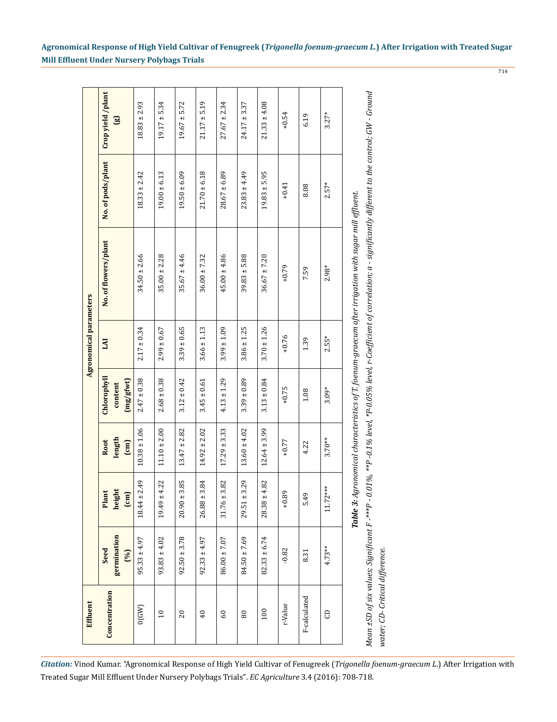|                        | Crop yield /plant<br>$\mathbf{g}$                                        | $18.83 \pm 2.93$    | $19.17 \pm 5.34$    | $19.67 \pm 5.72$    | $21.17 \pm 5.19$    | $27.67 \pm 2.34$    | $24.17 \pm 3.37$    | $21.33 \pm 4.08$ | $+0.54$ | 6.19         | $3.27*$           |
|------------------------|--------------------------------------------------------------------------|---------------------|---------------------|---------------------|---------------------|---------------------|---------------------|------------------|---------|--------------|-------------------|
|                        | No. of pods/plant                                                        | $18.33 \pm 2.42$    | $19.00 \pm 6.13$    | $19.50 \pm 6.09$    | $21.70 \pm 6.18$    | $28.67 \pm 6.89$    | $23.83 \pm 4.49$    | $19.83 \pm 5.95$ | $+0.41$ | 8.08         | $2.57*$           |
|                        | No. of flowers/plant                                                     | $34.50 \pm 2.66$    | $35.00 \pm 2.28$    | $35.67 \pm 4.46$    | $36.00 \pm 7.32$    | $45.00 \pm 4.86$    | $39.83 \pm 5.88$    | $36.67 \pm 7.20$ | $+0.79$ | 7.59         | $2.98*$           |
| Agronomical parameters | <b>IAI</b>                                                               | $2.17 \pm 0.34$     | $2.99 \pm 0.67$     | $3.39 \pm 0.65$     | $3.66 \pm 1.13$     | $3.99 \pm 1.09$     | $3.86 \pm 1.25$     | $3.70 \pm 1.26$  | $+0.76$ | 1.39         | $2.55*$           |
|                        | Chlorophyll<br>(mg/gfwt)<br>content                                      | $2.47 \pm 0.38$     | $2.68 \pm 0.38$     | $3.12 \pm 0.42$     | $3.45 \pm 0.61$     | $4.13 \pm 1.29$     | $3.39 \pm 0.89$     | $3.13 \pm 0.84$  | $+0.75$ | $1.08\,$     | $3.09*$           |
|                        | length<br>Root<br>$\begin{bmatrix} \text{cm} \\ \text{cm} \end{bmatrix}$ | $10.38 \pm 1.06$    | $11.10 \pm 2.00$    | $13.47 \pm 2.82$    | $14.92 \pm 2.02$    | $17.29 \pm 3.33$    | $13.60 \pm 4.02$    | $12.64 \pm 3.99$ | $+0.77$ | 4.22         | $3.70***$         |
|                        | height<br>Plant<br>$\mathbf{E}$                                          | 2.49<br>$18.44 \pm$ | 4.22<br>$19.49 \pm$ | 3.85<br>$20.90 \pm$ | 3.84<br>$26.88 \pm$ | 3.82<br>$31.76 \pm$ | 3.29<br>$29.51 \pm$ | $28.38 \pm 4.82$ | $+0.89$ | 5.49         | $***$<br>$11.72*$ |
|                        | germination<br>Seed<br>(96)                                              | $95.33 \pm 4.97$    | $93.83 \pm 4.02$    | $92.50 \pm 3.78$    | $92.33 \pm 4.97$    | $86.00 \pm 7.07$    | $84.50 \pm 7.69$    | $82.33 \pm 6.74$ | $-0.82$ | 8.31         | 4.73**            |
| Effluent               | Concentration                                                            | 0(GW)               | $\overline{10}$     | 20                  | 40                  | 60                  | $_{\rm 80}$         | 100              | r-Value | F-calculated | G                 |

water; CD- Critical difference. *water; CD- Critical difference.*

**Agronomical Response of High Yield Cultivar of Fenugreek (***Trigonella foenum-graecum L.***) After Irrigation with Treated Sugar Mill Effluent Under Nursery Polybags Trials**

714

*Citation:* Vinod Kumar. "Agronomical Response of High Yield Cultivar of Fenugreek (*Trigonella foenum-graecum L*.) After Irrigation with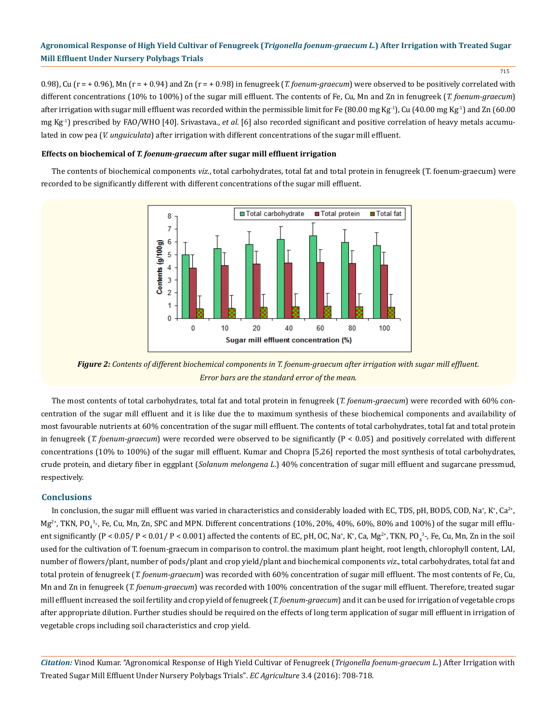715

0.98), Cu ( $r = +0.96$ ), Mn ( $r = +0.94$ ) and Zn ( $r = +0.98$ ) in fenugreek (*T. foenum-graecum*) were observed to be positively correlated with different concentrations (10% to 100%) of the sugar mill effluent. The contents of Fe, Cu, Mn and Zn in fenugreek (*T. foenum-graecum*) after irrigation with sugar mill effluent was recorded within the permissible limit for Fe (80.00 mg Kg<sup>-1</sup>), Cu (40.00 mg Kg<sup>-1</sup>) and Zn (60.00 mg Kg-1) prescribed by FAO/WHO [40]. Srivastava., *et al*. [6] also recorded significant and positive correlation of heavy metals accumulated in cow pea (*V. unguiculata*) after irrigation with different concentrations of the sugar mill effluent.

#### **Effects on biochemical of** *T. foenum-graecum* **after sugar mill effluent irrigation**

The contents of biochemical components *viz*., total carbohydrates, total fat and total protein in fenugreek (T. foenum-graecum) were recorded to be significantly different with different concentrations of the sugar mill effluent.



*Figure 2: Contents of different biochemical components in T. foenum-graecum after irrigation with sugar mill effluent. Error bars are the standard error of the mean.*

The most contents of total carbohydrates, total fat and total protein in fenugreek (*T. foenum-graecum*) were recorded with 60% concentration of the sugar mill effluent and it is like due the to maximum synthesis of these biochemical components and availability of most favourable nutrients at 60% concentration of the sugar mill effluent. The contents of total carbohydrates, total fat and total protein in fenugreek (*T. foenum-graecum*) were recorded were observed to be significantly (P < 0.05) and positively correlated with different concentrations (10% to 100%) of the sugar mill effluent. Kumar and Chopra [5,26] reported the most synthesis of total carbohydrates, crude protein, and dietary fiber in eggplant (*Solanum melongena L*.) 40% concentration of sugar mill effluent and sugarcane pressmud, respectively.

## **Conclusions**

In conclusion, the sugar mill effluent was varied in characteristics and considerably loaded with EC, TDS, pH, BOD5, COD, Na $^*,$  K $^*,$  Ca $^{2*},$ Mg<sup>2+</sup>, TKN, PO<sub>4</sub>3-, Fe, Cu, Mn, Zn, SPC and MPN. Different concentrations (10%, 20%, 40%, 60%, 80% and 100%) of the sugar mill effluent significantly (P < 0.05/ P < 0.01/ P < 0.001) affected the contents of EC, pH, OC, Na<sup>+</sup>, K<sup>+</sup>, Ca, Mg<sup>2+</sup>, TKN, PO<sub>4</sub><sup>3</sup>-, Fe, Cu, Mn, Zn in the soil used for the cultivation of T. foenum-graecum in comparison to control. the maximum plant height, root length, chlorophyll content, LAI, number of flowers/plant, number of pods/plant and crop yield/plant and biochemical components *viz*., total carbohydrates, total fat and total protein of fenugreek (*T. foenum-graecum*) was recorded with 60% concentration of sugar mill effluent. The most contents of Fe, Cu, Mn and Zn in fenugreek (*T. foenum-graecum*) was recorded with 100% concentration of the sugar mill effluent. Therefore, treated sugar mill effluent increased the soil fertility and crop yield of fenugreek (*T. foenum-graecum*) and it can be used for irrigation of vegetable crops after appropriate dilution. Further studies should be required on the effects of long term application of sugar mill effluent in irrigation of vegetable crops including soil characteristics and crop yield.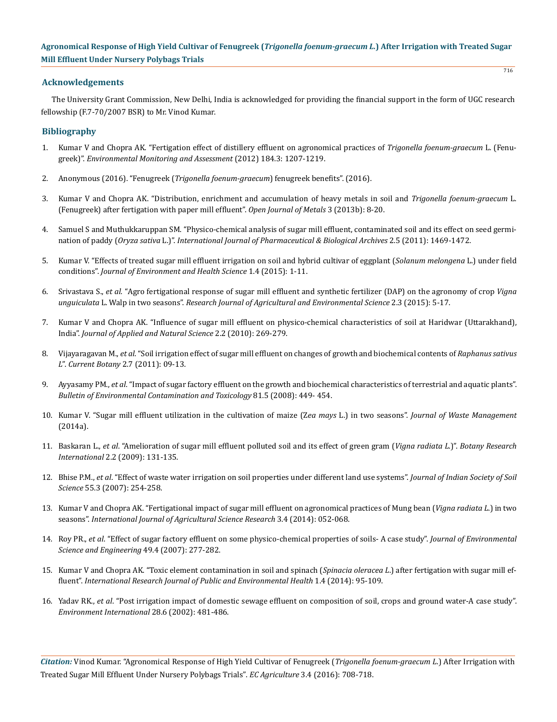## **Acknowledgements**

The University Grant Commission, New Delhi, India is acknowledged for providing the financial support in the form of UGC research fellowship (F.7-70/2007 BSR) to Mr. Vinod Kumar.

## **Bibliography**

- 1. [Kumar V and Chopra AK. "Fertigation effect of distillery effluent on agronomical practices of](http://www.ncbi.nlm.nih.gov/pubmed/21499700) *Trigonella foenum-graecum* L. (Fenugreek)". *[Environmental Monitoring and Assessment](http://www.ncbi.nlm.nih.gov/pubmed/21499700)* (2012) 184.3: 1207-1219.
- 2. [Anonymous \(2016\). "Fenugreek \(](http://www.herbwisdom.com/herb-fenugreek.html)*Trigonella foenum-graecum*) fenugreek benefits". (2016).
- 3. [Kumar V and Chopra AK. "Distribution, enrichment and accumulation of heavy metals in soil and](http://file.scirp.org/pdf/OJMetal_2013071616272965.pdf) *Trigonella foenum-graecum* L. [\(Fenugreek\) after fertigation with paper mill effluent".](http://file.scirp.org/pdf/OJMetal_2013071616272965.pdf) *Open Journal of Metals* 3 (2013b): 8-20.
- 4. Samuel S and Muthukkaruppan SM. "Physico-chemical analysis of sugar mill effluent, contaminated soil and its effect on seed germination of paddy (*Oryza sativa* L.)". *International Journal of Pharmaceutical & Biological Archives* 2.5 (2011): 1469-1472.
- 5. [Kumar V. "Effects of treated sugar mill effluent irrigation on soil and hybrid cultivar of eggplant \(](http://www.ommegaonline.org/article-details/Effects-of-Treated-Sugar-Mill-Effluent-Irrigation-on-Soil-and-Hybrid-Cultivar-of-Eggplant-i--(Solanum-melongena--i--L-)-under-Field-Conditions--/409)*Solanum melongena* L.) under field conditions". *[Journal of Environment and Health Science](http://www.ommegaonline.org/article-details/Effects-of-Treated-Sugar-Mill-Effluent-Irrigation-on-Soil-and-Hybrid-Cultivar-of-Eggplant-i--(Solanum-melongena--i--L-)-under-Field-Conditions--/409)* 1.4 (2015): 1-11.
- 6. Srivastava S., *et al.* ["Agro fertigational response of sugar mill effluent and synthetic fertilizer \(DAP\) on the agronomy of crop](https://www.researchgate.net/publication/279200325_AGRO_FERTIGATIONAL_RESPONSE_OF_SUGAR_MILL_EFFLUENT_AND_SYNTHETIC_FERTILIZER_DAP_ON_THE_AGRONOMY_OF_CROP_VIGNA_UNGUICULATA_L_WALP_IN_TWO_SEASONS) *Vigna unguiculata* L. Walp in two seasons". *[Research Journal of Agricultural and Environmental Science](https://www.researchgate.net/publication/279200325_AGRO_FERTIGATIONAL_RESPONSE_OF_SUGAR_MILL_EFFLUENT_AND_SYNTHETIC_FERTILIZER_DAP_ON_THE_AGRONOMY_OF_CROP_VIGNA_UNGUICULATA_L_WALP_IN_TWO_SEASONS)* 2.3 (2015): 5-17.
- 7. [Kumar V and Chopra AK. "Influence of sugar mill effluent on physico-chemical characteristics of soil at Haridwar \(Uttarakhand\),](http://www.ansfoundation.org/Uploaded%20Pdf/22/269-279.pdf)  India". *[Journal of Applied and Natural Science](http://www.ansfoundation.org/Uploaded%20Pdf/22/269-279.pdf)* 2.2 (2010): 269-279.
- 8. Vijayaragavan M., *et al*[. "Soil irrigation effect of sugar mill effluent on changes of growth and biochemical contents of](http://www.scopemed.org/?mno=195310) *Raphanus sativus L*". *[Current Botany](http://www.scopemed.org/?mno=195310)* 2.7 (2011): 09-13.
- 9. Ayyasamy PM., *et al*[. "Impact of sugar factory effluent on the growth and biochemical characteristics of terrestrial and aquatic plants".](http://www.ncbi.nlm.nih.gov/pubmed/18784897) *[Bulletin of Environmental Contamination and Toxicology](http://www.ncbi.nlm.nih.gov/pubmed/18784897)* 81.5 (2008): 449- 454.
- 10. [Kumar V. "Sugar mill effluent utilization in the cultivation of maize \(Z](http://www.hindawi.com/journals/jwm/2014/408509/)*ea mays* L.) in two seasons". *Journal of Waste Management* [\(2014a\).](http://www.hindawi.com/journals/jwm/2014/408509/)
- 11. Baskaran L., *et al*[. "Amelioration of sugar mill effluent polluted soil and its effect of green gram \(](http://idosi.org/bri/2(2)09/13.pdf)*Vigna radiata L*.)". *Botany Research International* [2.2 \(2009\): 131-135.](http://idosi.org/bri/2(2)09/13.pdf)
- 12. Bhise P.M., *et al*[. "Effect of waste water irrigation on soil properties under different land use systems".](http://www.indianjournals.com/ijor.aspx?target=ijor:jisss&volume=55&issue=3&article=004) *Journal of Indian Society of Soil Science* [55.3 \(2007\): 254-258.](http://www.indianjournals.com/ijor.aspx?target=ijor:jisss&volume=55&issue=3&article=004)
- 13. [Kumar V and Chopra AK. "Fertigational impact of sugar mill effluent on agronomical practices of Mung bean \(](https://www.researchgate.net/publication/278887750_Fertigational_impact_of_sugar_mill_effluent_on_agronomical_practices_of_Mung_bean_Vigna_radiata_L_in_two_seasons)*Vigna radiata L*.) in two seasons". *[International Journal of Agricultural Science Research](https://www.researchgate.net/publication/278887750_Fertigational_impact_of_sugar_mill_effluent_on_agronomical_practices_of_Mung_bean_Vigna_radiata_L_in_two_seasons)* 3.4 (2014): 052-068.
- 14. Roy PR., *et al*[. "Effect of sugar factory effluent on some physico-chemical properties of soils- A case study".](http://www.ncbi.nlm.nih.gov/pubmed/18476375) *Journal of Environmental [Science and Engineering](http://www.ncbi.nlm.nih.gov/pubmed/18476375)* 49.4 (2007): 277-282.
- 15. [Kumar V and Chopra AK. "Toxic element contamination in soil and spinach \(](https://www.researchgate.net/publication/271447485_Toxic_element_contamination_in_soil_and_spinach_Spinacia_oleracea_L_after_fertigation_with_sugar_mill_effluent)*Spinacia oleracea L*.) after fertigation with sugar mill effluent". *[International Research Journal of Public and Environmental Health](https://www.researchgate.net/publication/271447485_Toxic_element_contamination_in_soil_and_spinach_Spinacia_oleracea_L_after_fertigation_with_sugar_mill_effluent)* 1.4 (2014): 95-109.
- 16. Yadav RK., *et al*[. "Post irrigation impact of domestic sewage effluent on composition of soil, crops and ground water-A case study".](http://www.sciencedirect.com/science/article/pii/S0160412002000703) *[Environment International](http://www.sciencedirect.com/science/article/pii/S0160412002000703)* 28.6 (2002): 481-486.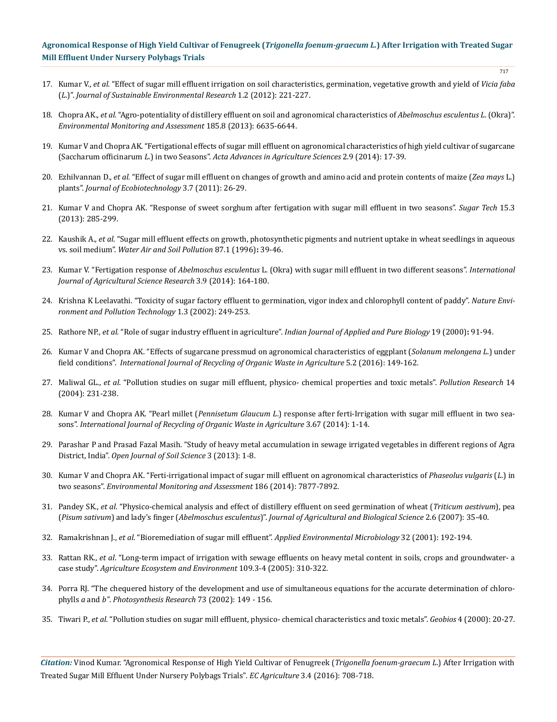- 17. Kumar V., *et al*[. "Effect of sugar mill effluent irrigation on soil characteristics, germination, vegetative growth and yield of](https://www.researchgate.net/publication/278893151_Effect_of_sugar_mill_effluent_irrigation_on_soil_characteristics_germination_vegetative_growth_and_yield_of_Vicia_faba_L) *Vicia faba* (*L*.)". *[Journal of Sustainable Environmental Research](https://www.researchgate.net/publication/278893151_Effect_of_sugar_mill_effluent_irrigation_on_soil_characteristics_germination_vegetative_growth_and_yield_of_Vicia_faba_L)* 1.2 (2012): 221-227.
- 18. Chopra AK., *et al*[. "Agro-potentiality of distillery effluent on soil and agronomical characteristics of](http://www.ncbi.nlm.nih.gov/pubmed/23264061) *Abelmoschus esculentus L*. (Okra)". *[Environmental Monitoring and Assessment](http://www.ncbi.nlm.nih.gov/pubmed/23264061)* 185.8 (2013): 6635-6644.
- 19. [Kumar V and Chopra AK. "Fertigational effects of sugar mill effluent on agronomical characteristics of high yield cultivar of sugarcane](https://scholar.google.com/citations?view_op=view_citation&hl=en&user=yzz4RBMAAAAJ&citation_for_view=yzz4RBMAAAAJ:Zph67rFs4hoC) (Saccharum officinarum *L*.) in two Seasons". *[Acta Advances in Agriculture Sciences](https://scholar.google.com/citations?view_op=view_citation&hl=en&user=yzz4RBMAAAAJ&citation_for_view=yzz4RBMAAAAJ:Zph67rFs4hoC)* 2.9 (2014): 17-39.
- 20. Ezhilvannan D., *et al.* ["Effect of sugar mill effluent on changes of growth and amino acid and protein contents of maize \(](http://scienceflora.org/journals/index.php/jebt/article/viewFile/182/181)*Zea mays* L.) plants". *[Journal of Ecobiotechnology](http://scienceflora.org/journals/index.php/jebt/article/viewFile/182/181)* 3.7 (2011): 26-29.
- 21. [Kumar V and Chopra AK. "Response of sweet sorghum after fertigation with sugar mill effluent in two seasons".](http://link.springer.com/article/10.1007/s12355-013-0226-9) *Sugar Tech* 15.3 [\(2013\): 285-299.](http://link.springer.com/article/10.1007/s12355-013-0226-9)
- 22. Kaushik A., *et al*[. "Sugar mill effluent effects on growth, photosynthetic pigments and nutrient uptake in wheat seedlings in aqueous](http://link.springer.com/article/10.1007/BF00696827) vs. soil medium". *[Water Air and Soil Pollution](http://link.springer.com/article/10.1007/BF00696827)* 87.1 (1996)**:** 39-46.
- 23. Kumar V. "Fertigation response of *Abelmoschus esculentus* [L. \(Okra\) with sugar mill effluent in two different seasons".](https://www.researchgate.net/publication/278885859_Fertigation_response_of_Abelmoschus_esculentus_L_Okra_with_sugar_mill_effluent_in_two_different_seasons) *International [Journal of Agricultural Science Research](https://www.researchgate.net/publication/278885859_Fertigation_response_of_Abelmoschus_esculentus_L_Okra_with_sugar_mill_effluent_in_two_different_seasons)* 3.9 (2014): 164-180.
- 24. [Krishna K Leelavathi. "Toxicity of sugar factory effluent to germination, vigor index and chlorophyll content of paddy".](http://eprints.uni-mysore.ac.in/11742/) *Nature Envi[ronment and Pollution Technology](http://eprints.uni-mysore.ac.in/11742/)* 1.3 (2002): 249-253.
- 25. Rathore NP., *et al.* "Role of sugar industry effluent in agriculture". *Indian Journal of Applied and Pure Biology* 19 (2000)**:** 91-94.
- 26. [Kumar V and Chopra AK. "Effects of sugarcane pressmud on agronomical characteristics of eggplant \(](http://link.springer.com/article/10.1007/s40093-016-0125-7)*Solanum melongena L*.) under field conditions". *[International Journal of Recycling of Organic Waste in Agriculture](http://link.springer.com/article/10.1007/s40093-016-0125-7)* 5.2 (2016): 149-162.
- 27. Maliwal GL., *et al*. "Pollution studies on sugar mill effluent, physico- chemical properties and toxic metals". *Pollution Research* 14 (2004): 231-238.
- 28. Kumar V and Chopra AK. "Pearl millet (*Pennisetum Glaucum L*[.\) response after ferti-Irrigation with sugar mill effluent in two sea](https://www.researchgate.net/publication/271447480_Pearl_millet_Pennisetum_Glaucum_L_response_after_ferti-irrigation_with_sugar_mill_effluent_in_two_seasons)sons". *[International Journal of Recycling of Organic Waste in Agriculture](https://www.researchgate.net/publication/271447480_Pearl_millet_Pennisetum_Glaucum_L_response_after_ferti-irrigation_with_sugar_mill_effluent_in_two_seasons)* 3.67 (2014): 1-14.
- 29. [Parashar P and Prasad Fazal Masih. "Study of heavy metal accumulation in sewage irrigated vegetables in different regions of Agra](http://file.scirp.org/pdf/OJSS_2013031814591549.pdf) District, India". *[Open Journal of Soil Science](http://file.scirp.org/pdf/OJSS_2013031814591549.pdf)* 3 (2013): 1-8.
- 30. [Kumar V and Chopra AK. "Ferti-irrigational impact of sugar mill effluent on agronomical characteristics of](http://download.springer.com/static/pdf/672/art%253A10.1007%252Fs10661-014-3974-4.pdf?originUrl=http%3A%2F%2Flink.springer.com%2Farticle%2F10.1007%2Fs10661-014-3974-4&token2=exp=1472471884~acl=%2Fstatic%2Fpdf%2F672%2Fart%25253A10.1007%25252Fs10661-014-3974-4.pdf%3ForiginUrl%3Dhttp%253A%252F%252Flink.springer.com%252Farticle%252F10.1007%252Fs10661-014-3974-4*~hmac=0508df5750c74206c55a6113e00e804f17541ca49d8a9cea4c134c53cf1a8dbf) *Phaseolus vulgaris* (*L*.) in two seasons". *[Environmental Monitoring and Assessment](http://download.springer.com/static/pdf/672/art%253A10.1007%252Fs10661-014-3974-4.pdf?originUrl=http%3A%2F%2Flink.springer.com%2Farticle%2F10.1007%2Fs10661-014-3974-4&token2=exp=1472471884~acl=%2Fstatic%2Fpdf%2F672%2Fart%25253A10.1007%25252Fs10661-014-3974-4.pdf%3ForiginUrl%3Dhttp%253A%252F%252Flink.springer.com%252Farticle%252F10.1007%252Fs10661-014-3974-4*~hmac=0508df5750c74206c55a6113e00e804f17541ca49d8a9cea4c134c53cf1a8dbf)* 186 (2014): 7877-7892.
- 31. Pandey SK., *et al*[. "Physico-chemical analysis and effect of distillery effluent on seed germination of wheat \(](http://www.arpnjournals.com/jabs/research_papers/rp_2007/jabs_1107_61.pdf)*Triticum aestivum*), pea (*Pisum sativum*) and lady's finger (*Abelmoschus esculentus*)". *[Journal of Agricultural and Biological Science](http://www.arpnjournals.com/jabs/research_papers/rp_2007/jabs_1107_61.pdf)* 2.6 (2007): 35-40.
- 32. Ramakrishnan J., *et al*. "Bioremediation of sugar mill effluent". *Applied Environmental Microbiology* 32 (2001): 192-194.
- 33. Rattan RK., *et al*[. "Long-term impact of irrigation with sewage effluents on heavy metal content in soils, crops and groundwater- a](http://www.sciencedirect.com/science/article/pii/S0167880905001398) case study". *[Agriculture Ecosystem and Environment](http://www.sciencedirect.com/science/article/pii/S0167880905001398)* 109.3-4 (2005): 310-322.
- 34. [Porra RJ. "The chequered history of the development and use of simultaneous equations for the accurate determination of chloro](http://citeseerx.ist.psu.edu/viewdoc/download?doi=10.1.1.322.6546&rep=rep1&type=pdf)phylls *a* and *b"*. *[Photosynthesis Research](http://citeseerx.ist.psu.edu/viewdoc/download?doi=10.1.1.322.6546&rep=rep1&type=pdf)* 73 (2002): 149 - 156.
- 35. Tiwari P., *et al*. "Pollution studies on sugar mill effluent, physico- chemical characteristics and toxic metals". *Geobios* 4 (2000): 20-27.

*Citation:* Vinod Kumar. "Agronomical Response of High Yield Cultivar of Fenugreek (*Trigonella foenum-graecum L*.) After Irrigation with Treated Sugar Mill Effluent Under Nursery Polybags Trials". *EC Agriculture* 3.4 (2016): 708-718.

717